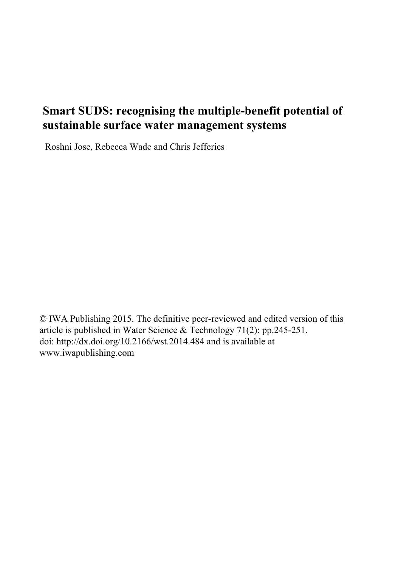# **Smart SUDS: recognising the multiple-benefit potential of sustainable surface water management systems**

Roshni Jose, Rebecca Wade and Chris Jefferies

© IWA Publishing 2015. The definitive peer-reviewed and edited version of this article is published in Water Science & Technology 71(2): pp.245-251. doi: http://dx.doi.org/10.2166/wst.2014.484 and is available at www.iwapublishing.com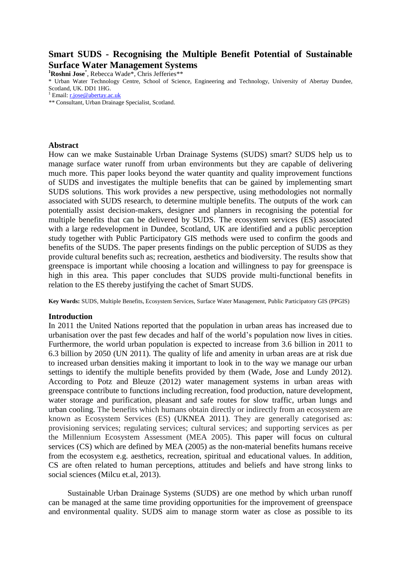## **Smart SUDS - Recognising the Multiple Benefit Potential of Sustainable Surface Water Management Systems**

**<sup>1</sup>Roshni Jose**\* , Rebecca Wade\*, Chris Jefferies\*\*

\* Urban Water Technology Centre, School of Science, Engineering and Technology, University of Abertay Dundee, Scotland, UK. DD1 1HG.

<sup>1</sup> Email:  $\underline{\text{r}, \text{jose} \omega}$  abertay.ac.uk

*\*\** Consultant, Urban Drainage Specialist, Scotland.

#### **Abstract**

How can we make Sustainable Urban Drainage Systems (SUDS) smart? SUDS help us to manage surface water runoff from urban environments but they are capable of delivering much more. This paper looks beyond the water quantity and quality improvement functions of SUDS and investigates the multiple benefits that can be gained by implementing smart SUDS solutions. This work provides a new perspective, using methodologies not normally associated with SUDS research, to determine multiple benefits. The outputs of the work can potentially assist decision-makers, designer and planners in recognising the potential for multiple benefits that can be delivered by SUDS. The ecosystem services (ES) associated with a large redevelopment in Dundee, Scotland, UK are identified and a public perception study together with Public Participatory GIS methods were used to confirm the goods and benefits of the SUDS. The paper presents findings on the public perception of SUDS as they provide cultural benefits such as; recreation, aesthetics and biodiversity. The results show that greenspace is important while choosing a location and willingness to pay for greenspace is high in this area. This paper concludes that SUDS provide multi-functional benefits in relation to the ES thereby justifying the cachet of Smart SUDS.

**Key Words:** SUDS, Multiple Benefits, Ecosystem Services, Surface Water Management, Public Participatory GIS (PPGIS)

### **Introduction**

In 2011 the United Nations reported that the population in urban areas has increased due to urbanisation over the past few decades and half of the world's population now lives in cities. Furthermore, the world urban population is expected to increase from 3.6 billion in 2011 to 6.3 billion by 2050 (UN 2011). The quality of life and amenity in urban areas are at risk due to increased urban densities making it important to look in to the way we manage our urban settings to identify the multiple benefits provided by them (Wade, Jose and Lundy 2012). According to Potz and Bleuze (2012) water management systems in urban areas with greenspace contribute to functions including recreation, food production, nature development, water storage and purification, pleasant and safe routes for slow traffic, urban lungs and urban cooling. The benefits which humans obtain directly or indirectly from an ecosystem are known as Ecosystem Services (ES) (UKNEA 2011). They are generally categorised as: provisioning services; regulating services; cultural services; and supporting services as per the Millennium Ecosystem Assessment (MEA 2005). This paper will focus on cultural services (CS) which are defined by MEA (2005) as the non-material benefits humans receive from the ecosystem e.g. aesthetics, recreation, spiritual and educational values. In addition, CS are often related to human perceptions, attitudes and beliefs and have strong links to social sciences (Milcu et.al, 2013).

Sustainable Urban Drainage Systems (SUDS) are one method by which urban runoff can be managed at the same time providing opportunities for the improvement of greenspace and environmental quality. SUDS aim to manage storm water as close as possible to its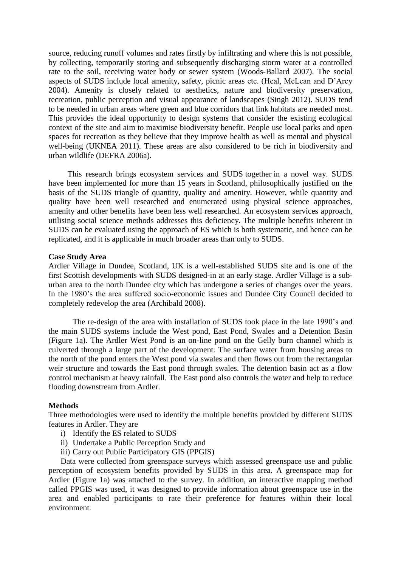source, reducing runoff volumes and rates firstly by infiltrating and where this is not possible, by collecting, temporarily storing and subsequently discharging storm water at a controlled rate to the soil, receiving water body or sewer system (Woods-Ballard 2007). The social aspects of SUDS include local amenity, safety, picnic areas etc. (Heal, McLean and D'Arcy 2004). Amenity is closely related to aesthetics, nature and biodiversity preservation, recreation, public perception and visual appearance of landscapes (Singh 2012). SUDS tend to be needed in urban areas where green and blue corridors that link habitats are needed most. This provides the ideal opportunity to design systems that consider the existing ecological context of the site and aim to maximise biodiversity benefit. People use local parks and open spaces for recreation as they believe that they improve health as well as mental and physical well-being (UKNEA 2011). These areas are also considered to be rich in biodiversity and urban wildlife (DEFRA 2006a).

This research brings ecosystem services and SUDS together in a novel way. SUDS have been implemented for more than 15 years in Scotland, philosophically justified on the basis of the SUDS triangle of quantity, quality and amenity. However, while quantity and quality have been well researched and enumerated using physical science approaches, amenity and other benefits have been less well researched. An ecosystem services approach, utilising social science methods addresses this deficiency. The multiple benefits inherent in SUDS can be evaluated using the approach of ES which is both systematic, and hence can be replicated, and it is applicable in much broader areas than only to SUDS.

#### **Case Study Area**

Ardler Village in Dundee, Scotland, UK is a well-established SUDS site and is one of the first Scottish developments with SUDS designed-in at an early stage. Ardler Village is a suburban area to the north Dundee city which has undergone a series of changes over the years. In the 1980's the area suffered socio-economic issues and Dundee City Council decided to completely redevelop the area (Archibald 2008).

The re-design of the area with installation of SUDS took place in the late 1990's and the main SUDS systems include the West pond, East Pond, Swales and a Detention Basin (Figure 1a). The Ardler West Pond is an on-line pond on the Gelly burn channel which is culverted through a large part of the development. The surface water from housing areas to the north of the pond enters the West pond via swales and then flows out from the rectangular weir structure and towards the East pond through swales. The detention basin act as a flow control mechanism at heavy rainfall. The East pond also controls the water and help to reduce flooding downstream from Ardler.

#### **Methods**

Three methodologies were used to identify the multiple benefits provided by different SUDS features in Ardler. They are

- i) Identify the ES related to SUDS
- ii) Undertake a Public Perception Study and
- iii) Carry out Public Participatory GIS (PPGIS)

Data were collected from greenspace surveys which assessed greenspace use and public perception of ecosystem benefits provided by SUDS in this area. A greenspace map for Ardler (Figure 1a) was attached to the survey. In addition, an interactive mapping method called PPGIS was used, it was designed to provide information about greenspace use in the area and enabled participants to rate their preference for features within their local environment.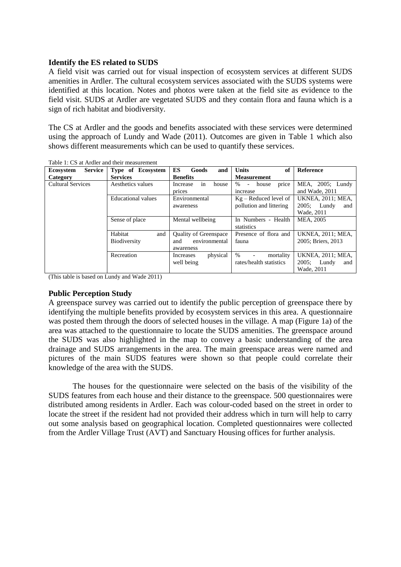## **Identify the ES related to SUDS**

A field visit was carried out for visual inspection of ecosystem services at different SUDS amenities in Ardler. The cultural ecosystem services associated with the SUDS systems were identified at this location. Notes and photos were taken at the field site as evidence to the field visit. SUDS at Ardler are vegetated SUDS and they contain flora and fauna which is a sign of rich habitat and biodiversity.

The CS at Ardler and the goods and benefits associated with these services were determined using the approach of Lundy and Wade (2011). Outcomes are given in Table 1 which also shows different measurements which can be used to quantify these services.

| <b>Service</b><br><b>Ecosystem</b> | Type of Ecosystem  | ES<br>Goods<br>and           | <b>Units</b><br>of                    | Reference                |
|------------------------------------|--------------------|------------------------------|---------------------------------------|--------------------------|
| Category                           | <b>Services</b>    | <b>Benefits</b>              | <b>Measurement</b>                    |                          |
| <b>Cultural Services</b>           | Aesthetics values  | in<br>Increase<br>house      | %<br>house<br>price<br>$\overline{a}$ | MEA, 2005; Lundy         |
|                                    |                    | prices                       | increase                              | and Wade, 2011           |
|                                    | Educational values | Environmental                | $Kg - Reduced level of$               | <b>UKNEA, 2011; MEA,</b> |
|                                    |                    | awareness                    | pollution and littering               | $2005$ ; Lundy<br>and    |
|                                    |                    |                              |                                       | Wade, 2011               |
|                                    | Sense of place     | Mental wellbeing             | In Numbers - Health                   | MEA, 2005                |
|                                    |                    |                              | statistics                            |                          |
|                                    | Habitat<br>and     | <b>Quality of Greenspace</b> | Presence of flora and                 | <b>UKNEA, 2011; MEA,</b> |
|                                    | Biodiversity       | environmental<br>and         | fauna                                 | 2005: Briers, 2013       |
|                                    |                    | awareness                    |                                       |                          |
|                                    | Recreation         | physical<br>Increases        | $\%$<br>mortality                     | <b>UKNEA, 2011; MEA,</b> |
|                                    |                    | well being                   | rates/health statistics               | $2005$ ; Lundy<br>and    |
|                                    |                    |                              |                                       | Wade, 2011               |

Table 1: CS at Ardler and their measurement

(This table is based on Lundy and Wade 2011)

### **Public Perception Study**

A greenspace survey was carried out to identify the public perception of greenspace there by identifying the multiple benefits provided by ecosystem services in this area. A questionnaire was posted them through the doors of selected houses in the village. A map (Figure 1a) of the area was attached to the questionnaire to locate the SUDS amenities. The greenspace around the SUDS was also highlighted in the map to convey a basic understanding of the area drainage and SUDS arrangements in the area. The main greenspace areas were named and pictures of the main SUDS features were shown so that people could correlate their knowledge of the area with the SUDS.

The houses for the questionnaire were selected on the basis of the visibility of the SUDS features from each house and their distance to the greenspace. 500 questionnaires were distributed among residents in Ardler. Each was colour-coded based on the street in order to locate the street if the resident had not provided their address which in turn will help to carry out some analysis based on geographical location. Completed questionnaires were collected from the Ardler Village Trust (AVT) and Sanctuary Housing offices for further analysis.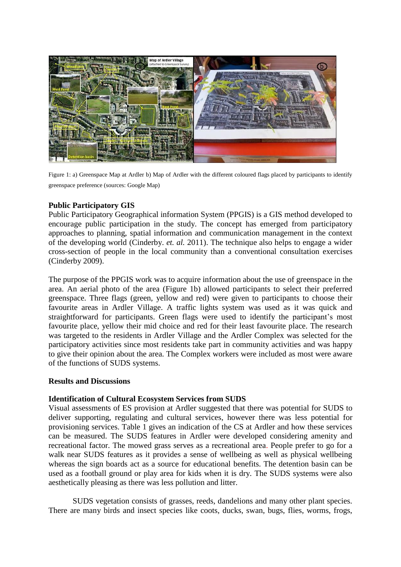

Figure 1: a) Greenspace Map at Ardler b) Map of Ardler with the different coloured flags placed by participants to identify greenspace preference (sources: Google Map)

## **Public Participatory GIS**

Public Participatory Geographical information System (PPGIS) is a GIS method developed to encourage public participation in the study. The concept has emerged from participatory approaches to planning, spatial information and communication management in the context of the developing world (Cinderby. *et. al.* 2011). The technique also helps to engage a wider cross-section of people in the local community than a conventional consultation exercises (Cinderby 2009).

The purpose of the PPGIS work was to acquire information about the use of greenspace in the area. An aerial photo of the area (Figure 1b) allowed participants to select their preferred greenspace. Three flags (green, yellow and red) were given to participants to choose their favourite areas in Ardler Village. A traffic lights system was used as it was quick and straightforward for participants. Green flags were used to identify the participant's most favourite place, yellow their mid choice and red for their least favourite place. The research was targeted to the residents in Ardler Village and the Ardler Complex was selected for the participatory activities since most residents take part in community activities and was happy to give their opinion about the area. The Complex workers were included as most were aware of the functions of SUDS systems.

## **Results and Discussions**

## **Identification of Cultural Ecosystem Services from SUDS**

Visual assessments of ES provision at Ardler suggested that there was potential for SUDS to deliver supporting, regulating and cultural services, however there was less potential for provisioning services. Table 1 gives an indication of the CS at Ardler and how these services can be measured. The SUDS features in Ardler were developed considering amenity and recreational factor. The mowed grass serves as a recreational area. People prefer to go for a walk near SUDS features as it provides a sense of wellbeing as well as physical wellbeing whereas the sign boards act as a source for educational benefits. The detention basin can be used as a football ground or play area for kids when it is dry. The SUDS systems were also aesthetically pleasing as there was less pollution and litter.

SUDS vegetation consists of grasses, reeds, dandelions and many other plant species. There are many birds and insect species like coots, ducks, swan, bugs, flies, worms, frogs,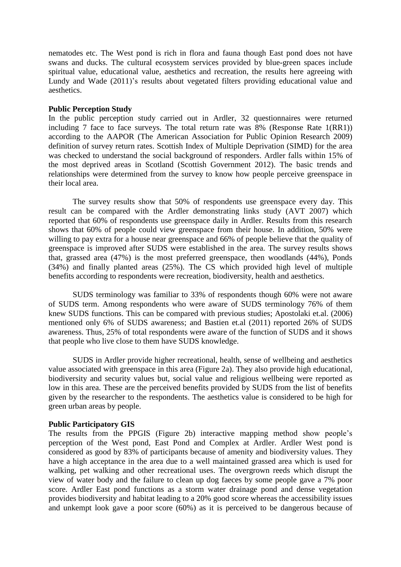nematodes etc. The West pond is rich in flora and fauna though East pond does not have swans and ducks. The cultural ecosystem services provided by blue-green spaces include spiritual value, educational value, aesthetics and recreation, the results here agreeing with Lundy and Wade (2011)'s results about vegetated filters providing educational value and aesthetics.

## **Public Perception Study**

In the public perception study carried out in Ardler, 32 questionnaires were returned including 7 face to face surveys. The total return rate was 8% (Response Rate 1(RR1)) according to the AAPOR (The American Association for Public Opinion Research 2009) definition of survey return rates. Scottish Index of Multiple Deprivation (SIMD) for the area was checked to understand the social background of responders. Ardler falls within 15% of the most deprived areas in Scotland (Scottish Government 2012). The basic trends and relationships were determined from the survey to know how people perceive greenspace in their local area.

The survey results show that 50% of respondents use greenspace every day. This result can be compared with the Ardler demonstrating links study (AVT 2007) which reported that 60% of respondents use greenspace daily in Ardler. Results from this research shows that 60% of people could view greenspace from their house. In addition, 50% were willing to pay extra for a house near greenspace and 66% of people believe that the quality of greenspace is improved after SUDS were established in the area. The survey results shows that, grassed area (47%) is the most preferred greenspace, then woodlands (44%), Ponds (34%) and finally planted areas (25%). The CS which provided high level of multiple benefits according to respondents were recreation, biodiversity, health and aesthetics.

SUDS terminology was familiar to 33% of respondents though 60% were not aware of SUDS term. Among respondents who were aware of SUDS terminology 76% of them knew SUDS functions. This can be compared with previous studies; Apostolaki et.al. (2006) mentioned only 6% of SUDS awareness; and Bastien et.al (2011) reported 26% of SUDS awareness. Thus, 25% of total respondents were aware of the function of SUDS and it shows that people who live close to them have SUDS knowledge.

SUDS in Ardler provide higher recreational, health, sense of wellbeing and aesthetics value associated with greenspace in this area (Figure 2a). They also provide high educational, biodiversity and security values but, social value and religious wellbeing were reported as low in this area. These are the perceived benefits provided by SUDS from the list of benefits given by the researcher to the respondents. The aesthetics value is considered to be high for green urban areas by people.

## **Public Participatory GIS**

The results from the PPGIS (Figure 2b) interactive mapping method show people's perception of the West pond, East Pond and Complex at Ardler. Ardler West pond is considered as good by 83% of participants because of amenity and biodiversity values. They have a high acceptance in the area due to a well maintained grassed area which is used for walking, pet walking and other recreational uses. The overgrown reeds which disrupt the view of water body and the failure to clean up dog faeces by some people gave a 7% poor score. Ardler East pond functions as a storm water drainage pond and dense vegetation provides biodiversity and habitat leading to a 20% good score whereas the accessibility issues and unkempt look gave a poor score (60%) as it is perceived to be dangerous because of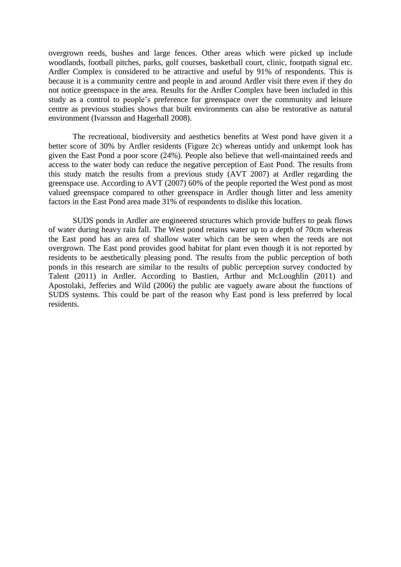overgrown reeds, bushes and large fences. Other areas which were picked up include woodlands, football pitches, parks, golf courses, basketball court, clinic, footpath signal etc. Ardler Complex is considered to be attractive and useful by 91% of respondents. This is because it is a community centre and people in and around Ardler visit there even if they do not notice greenspace in the area. Results for the Ardler Complex have been included in this study as a control to people's preference for greenspace over the community and leisure centre as previous studies shows that built environments can also be restorative as natural environment (Ivarsson and Hagerhall 2008).

The recreational, biodiversity and aesthetics benefits at West pond have given it a better score of 30% by Ardler residents (Figure 2c) whereas untidy and unkempt look has given the East Pond a poor score (24%). People also believe that well-maintained reeds and access to the water body can reduce the negative perception of East Pond. The results from this study match the results from a previous study (AVT 2007) at Ardler regarding the greenspace use. According to AVT (2007) 60% of the people reported the West pond as most valued greenspace compared to other greenspace in Ardler though litter and less amenity factors in the East Pond area made 31% of respondents to dislike this location.

SUDS ponds in Ardler are engineered structures which provide buffers to peak flows of water during heavy rain fall. The West pond retains water up to a depth of 70cm whereas the East pond has an area of shallow water which can be seen when the reeds are not overgrown. The East pond provides good habitat for plant even though it is not reported by residents to be aesthetically pleasing pond. The results from the public perception of both ponds in this research are similar to the results of public perception survey conducted by Talent (2011) in Ardler. According to Bastien, Arthur and McLoughlin (2011) and Apostolaki, Jefferies and Wild (2006) the public are vaguely aware about the functions of SUDS systems. This could be part of the reason why East pond is less preferred by local residents.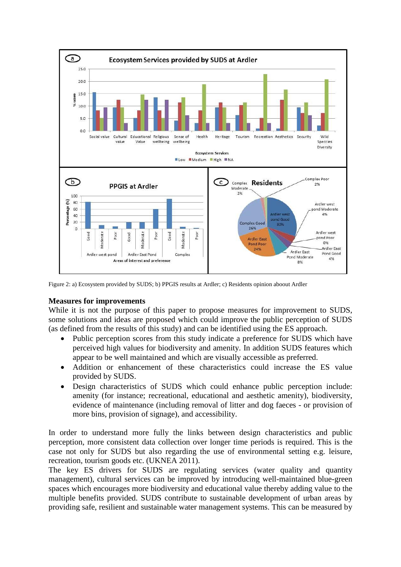

Figure 2: a) Ecosystem provided by SUDS; b) PPGIS results at Ardler; c) Residents opinion aboout Ardler

## **Measures for improvements**

While it is not the purpose of this paper to propose measures for improvement to SUDS, some solutions and ideas are proposed which could improve the public perception of SUDS (as defined from the results of this study) and can be identified using the ES approach.

- Public perception scores from this study indicate a preference for SUDS which have perceived high values for biodiversity and amenity. In addition SUDS features which appear to be well maintained and which are visually accessible as preferred.
- Addition or enhancement of these characteristics could increase the ES value provided by SUDS.
- Design characteristics of SUDS which could enhance public perception include: amenity (for instance; recreational, educational and aesthetic amenity), biodiversity, evidence of maintenance (including removal of litter and dog faeces - or provision of more bins, provision of signage), and accessibility.

In order to understand more fully the links between design characteristics and public perception, more consistent data collection over longer time periods is required. This is the case not only for SUDS but also regarding the use of environmental setting e.g. leisure, recreation, tourism goods etc. (UKNEA 2011).

The key ES drivers for SUDS are regulating services (water quality and quantity management), cultural services can be improved by introducing well-maintained blue-green spaces which encourages more biodiversity and educational value thereby adding value to the multiple benefits provided. SUDS contribute to sustainable development of urban areas by providing safe, resilient and sustainable water management systems. This can be measured by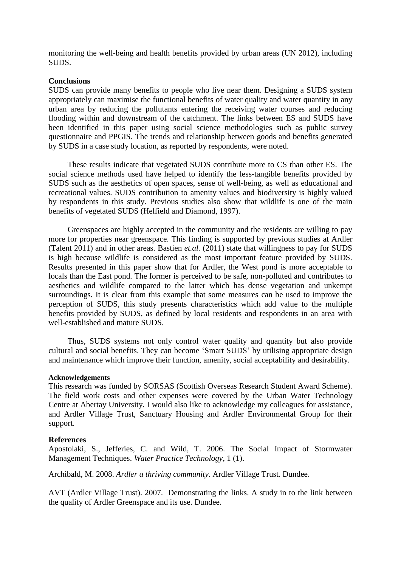monitoring the well-being and health benefits provided by urban areas (UN 2012), including SUDS.

## **Conclusions**

SUDS can provide many benefits to people who live near them. Designing a SUDS system appropriately can maximise the functional benefits of water quality and water quantity in any urban area by reducing the pollutants entering the receiving water courses and reducing flooding within and downstream of the catchment. The links between ES and SUDS have been identified in this paper using social science methodologies such as public survey questionnaire and PPGIS. The trends and relationship between goods and benefits generated by SUDS in a case study location, as reported by respondents, were noted.

These results indicate that vegetated SUDS contribute more to CS than other ES. The social science methods used have helped to identify the less-tangible benefits provided by SUDS such as the aesthetics of open spaces, sense of well-being, as well as educational and recreational values. SUDS contribution to amenity values and biodiversity is highly valued by respondents in this study. Previous studies also show that wildlife is one of the main benefits of vegetated SUDS (Helfield and Diamond, 1997).

Greenspaces are highly accepted in the community and the residents are willing to pay more for properties near greenspace. This finding is supported by previous studies at Ardler (Talent 2011) and in other areas. Bastien *et.al.* (2011) state that willingness to pay for SUDS is high because wildlife is considered as the most important feature provided by SUDS. Results presented in this paper show that for Ardler, the West pond is more acceptable to locals than the East pond. The former is perceived to be safe, non-polluted and contributes to aesthetics and wildlife compared to the latter which has dense vegetation and unkempt surroundings. It is clear from this example that some measures can be used to improve the perception of SUDS, this study presents characteristics which add value to the multiple benefits provided by SUDS, as defined by local residents and respondents in an area with well-established and mature SUDS.

Thus, SUDS systems not only control water quality and quantity but also provide cultural and social benefits. They can become 'Smart SUDS' by utilising appropriate design and maintenance which improve their function, amenity, social acceptability and desirability.

### **Acknowledgements**

This research was funded by SORSAS (Scottish Overseas Research Student Award Scheme). The field work costs and other expenses were covered by the Urban Water Technology Centre at Abertay University. I would also like to acknowledge my colleagues for assistance, and Ardler Village Trust, Sanctuary Housing and Ardler Environmental Group for their support.

### **References**

Apostolaki, S., Jefferies, C. and Wild, T. 2006. The Social Impact of Stormwater Management Techniques. *Water Practice Technology*, 1 (1).

Archibald, M. 2008. *Ardler a thriving community*. Ardler Village Trust. Dundee.

AVT (Ardler Village Trust). 2007. Demonstrating the links. A study in to the link between the quality of Ardler Greenspace and its use. Dundee.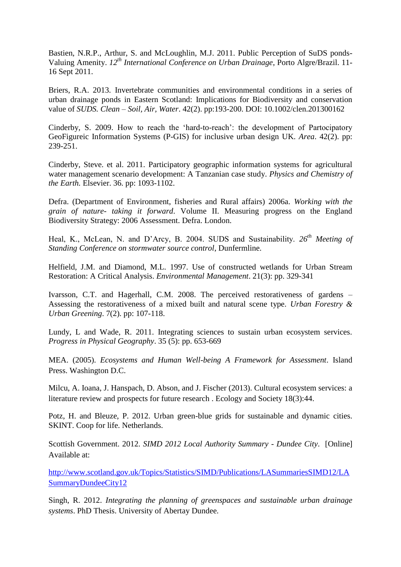Bastien, N.R.P., Arthur, S. and McLoughlin, M.J. 2011. Public Perception of SuDS ponds-Valuing Amenity. *12th International Conference on Urban Drainage*, Porto Algre/Brazil. 11- 16 Sept 2011.

Briers, R.A. 2013. Invertebrate communities and environmental conditions in a series of urban drainage ponds in Eastern Scotland: Implications for Biodiversity and conservation value of *SUDS. Clean – Soil, Air, Water*. 42(2). pp:193-200. DOI: 10.1002/clen.201300162

Cinderby, S. 2009. How to reach the 'hard-to-reach': the development of Partocipatory GeoFigureic Information Systems (P-GIS) for inclusive urban design UK. *Area*. 42(2). pp: 239-251.

Cinderby, Steve. et al. 2011. Participatory geographic information systems for agricultural water management scenario development: A Tanzanian case study. *Physics and Chemistry of the Earth.* Elsevier. 36. pp: 1093-1102.

Defra. (Department of Environment, fisheries and Rural affairs) 2006a. *Working with the grain of nature- taking it forward*. Volume II. Measuring progress on the England Biodiversity Strategy: 2006 Assessment. Defra. London.

Heal, K., McLean, N. and D'Arcy, B. 2004. SUDS and Sustainability. *26th Meeting of Standing Conference on stormwater source control*, Dunfermline.

Helfield, J.M. and Diamond, M.L. 1997. Use of constructed wetlands for Urban Stream Restoration: A Critical Analysis. *Environmental Management*. 21(3): pp. 329-341

Ivarsson, C.T. and Hagerhall, C.M. 2008. The perceived restorativeness of gardens – Assessing the restorativeness of a mixed built and natural scene type. *Urban Forestry & Urban Greening*. 7(2). pp: 107-118.

Lundy, L and Wade, R. 2011. Integrating sciences to sustain urban ecosystem services. *Progress in Physical Geography*. 35 (5): pp. 653-669

MEA. (2005). *Ecosystems and Human Well-being A Framework for Assessment*. Island Press. Washington D.C.

Milcu, A. Ioana, J. Hanspach, D. Abson, and J. Fischer (2013). Cultural ecosystem services: a literature review and prospects for future research . Ecology and Society 18(3):44.

Potz, H. and Bleuze, P. 2012. Urban green-blue grids for sustainable and dynamic cities. SKINT. Coop for life. Netherlands.

Scottish Government. 2012. *SIMD 2012 Local Authority Summary - Dundee City*. [Online] Available at:

[http://www.scotland.gov.uk/Topics/Statistics/SIMD/Publications/LASummariesSIMD12/LA](http://www.scotland.gov.uk/Topics/Statistics/SIMD/Publications/LASummariesSIMD12/LASummaryDundeeCity12) [SummaryDundeeCity12](http://www.scotland.gov.uk/Topics/Statistics/SIMD/Publications/LASummariesSIMD12/LASummaryDundeeCity12)

Singh, R. 2012. *Integrating the planning of greenspaces and sustainable urban drainage systems*. PhD Thesis. University of Abertay Dundee.